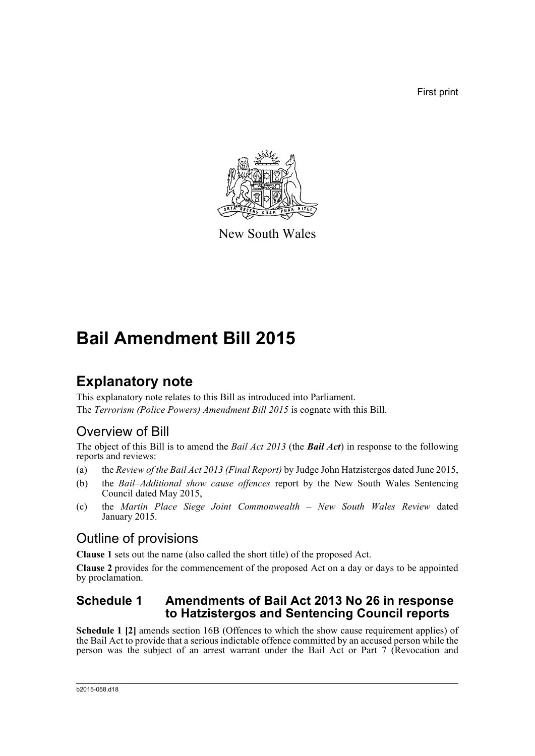First print



New South Wales

# **Bail Amendment Bill 2015**

## **Explanatory note**

This explanatory note relates to this Bill as introduced into Parliament. The *Terrorism (Police Powers) Amendment Bill 2015* is cognate with this Bill.

### Overview of Bill

The object of this Bill is to amend the *Bail Act 2013* (the *Bail Act*) in response to the following reports and reviews:

- (a) the *Review of the Bail Act 2013 (Final Report)* by Judge John Hatzistergos dated June 2015,
- (b) the *Bail–Additional show cause offences* report by the New South Wales Sentencing Council dated May 2015,
- (c) the *Martin Place Siege Joint Commonwealth New South Wales Review* dated January 2015.

### Outline of provisions

**Clause 1** sets out the name (also called the short title) of the proposed Act.

**Clause 2** provides for the commencement of the proposed Act on a day or days to be appointed by proclamation.

### **Schedule 1 Amendments of Bail Act 2013 No 26 in response to Hatzistergos and Sentencing Council reports**

**Schedule 1 [2]** amends section 16B (Offences to which the show cause requirement applies) of the Bail Act to provide that a serious indictable offence committed by an accused person while the person was the subject of an arrest warrant under the Bail Act or Part 7 (Revocation and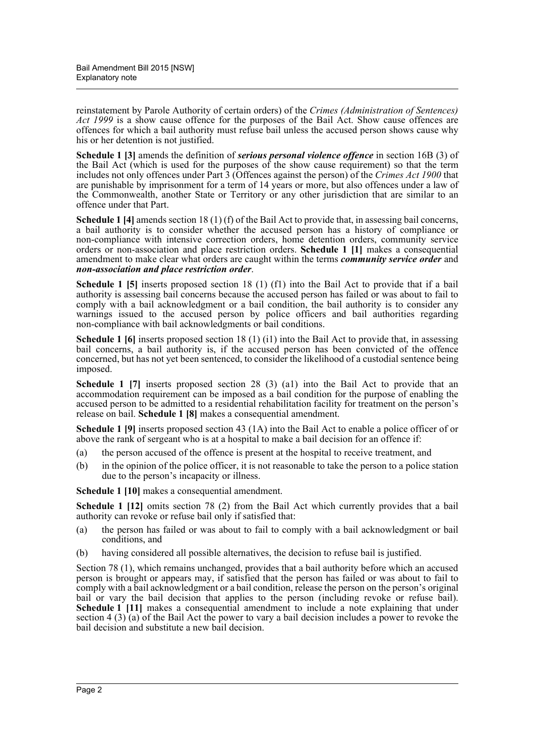reinstatement by Parole Authority of certain orders) of the *Crimes (Administration of Sentences) Act 1999* is a show cause offence for the purposes of the Bail Act. Show cause offences are offences for which a bail authority must refuse bail unless the accused person shows cause why his or her detention is not justified.

**Schedule 1 [3]** amends the definition of *serious personal violence offence* in section 16B (3) of the Bail Act (which is used for the purposes of the show cause requirement) so that the term includes not only offences under Part 3 (Offences against the person) of the *Crimes Act 1900* that are punishable by imprisonment for a term of 14 years or more, but also offences under a law of the Commonwealth, another State or Territory or any other jurisdiction that are similar to an offence under that Part.

**Schedule 1** [4] amends section 18 (1) (f) of the Bail Act to provide that, in assessing bail concerns, a bail authority is to consider whether the accused person has a history of compliance or non-compliance with intensive correction orders, home detention orders, community service orders or non-association and place restriction orders. **Schedule 1 [1]** makes a consequential amendment to make clear what orders are caught within the terms *community service order* and *non-association and place restriction order*.

**Schedule 1 [5]** inserts proposed section 18 (1) (f1) into the Bail Act to provide that if a bail authority is assessing bail concerns because the accused person has failed or was about to fail to comply with a bail acknowledgment or a bail condition, the bail authority is to consider any warnings issued to the accused person by police officers and bail authorities regarding non-compliance with bail acknowledgments or bail conditions.

**Schedule 1 [6]** inserts proposed section 18 (1) (i1) into the Bail Act to provide that, in assessing bail concerns, a bail authority is, if the accused person has been convicted of the offence concerned, but has not yet been sentenced, to consider the likelihood of a custodial sentence being imposed.

**Schedule 1 [7]** inserts proposed section 28 (3) (a1) into the Bail Act to provide that an accommodation requirement can be imposed as a bail condition for the purpose of enabling the accused person to be admitted to a residential rehabilitation facility for treatment on the person's release on bail. **Schedule 1 [8]** makes a consequential amendment.

**Schedule 1 [9]** inserts proposed section 43 (1A) into the Bail Act to enable a police officer of or above the rank of sergeant who is at a hospital to make a bail decision for an offence if:

- (a) the person accused of the offence is present at the hospital to receive treatment, and
- (b) in the opinion of the police officer, it is not reasonable to take the person to a police station due to the person's incapacity or illness.

**Schedule 1 [10]** makes a consequential amendment.

**Schedule 1 [12]** omits section 78 (2) from the Bail Act which currently provides that a bail authority can revoke or refuse bail only if satisfied that:

- (a) the person has failed or was about to fail to comply with a bail acknowledgment or bail conditions, and
- (b) having considered all possible alternatives, the decision to refuse bail is justified.

Section 78 (1), which remains unchanged, provides that a bail authority before which an accused person is brought or appears may, if satisfied that the person has failed or was about to fail to comply with a bail acknowledgment or a bail condition, release the person on the person's original bail or vary the bail decision that applies to the person (including revoke or refuse bail). **Schedule 1** [11] makes a consequential amendment to include a note explaining that under section 4 (3) (a) of the Bail Act the power to vary a bail decision includes a power to revoke the bail decision and substitute a new bail decision.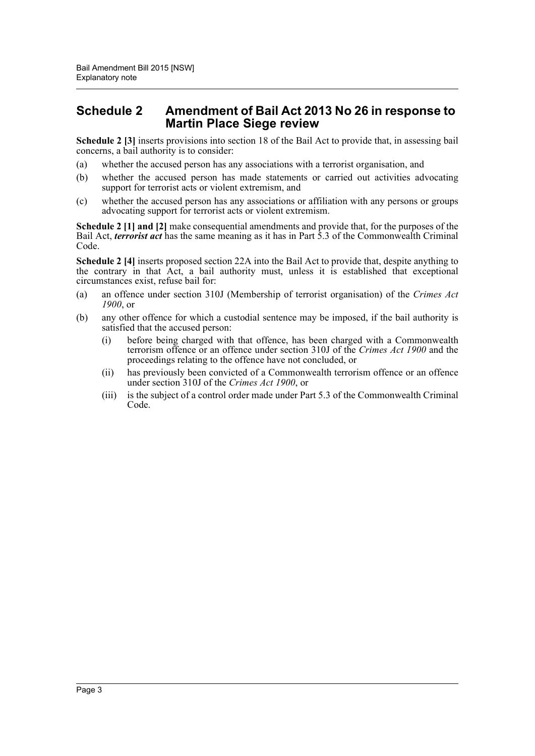### **Schedule 2 Amendment of Bail Act 2013 No 26 in response to Martin Place Siege review**

**Schedule 2 [3]** inserts provisions into section 18 of the Bail Act to provide that, in assessing bail concerns, a bail authority is to consider:

- (a) whether the accused person has any associations with a terrorist organisation, and
- (b) whether the accused person has made statements or carried out activities advocating support for terrorist acts or violent extremism, and
- (c) whether the accused person has any associations or affiliation with any persons or groups advocating support for terrorist acts or violent extremism.

**Schedule 2** [1] and [2] make consequential amendments and provide that, for the purposes of the Bail Act, *terrorist act* has the same meaning as it has in Part 5.3 of the Commonwealth Criminal Code.

**Schedule 2 [4]** inserts proposed section 22A into the Bail Act to provide that, despite anything to the contrary in that Act, a bail authority must, unless it is established that exceptional circumstances exist, refuse bail for:

- (a) an offence under section 310J (Membership of terrorist organisation) of the *Crimes Act 1900*, or
- (b) any other offence for which a custodial sentence may be imposed, if the bail authority is satisfied that the accused person:
	- (i) before being charged with that offence, has been charged with a Commonwealth terrorism offence or an offence under section 310J of the *Crimes Act 1900* and the proceedings relating to the offence have not concluded, or
	- (ii) has previously been convicted of a Commonwealth terrorism offence or an offence under section 310J of the *Crimes Act 1900*, or
	- (iii) is the subject of a control order made under Part 5.3 of the Commonwealth Criminal Code.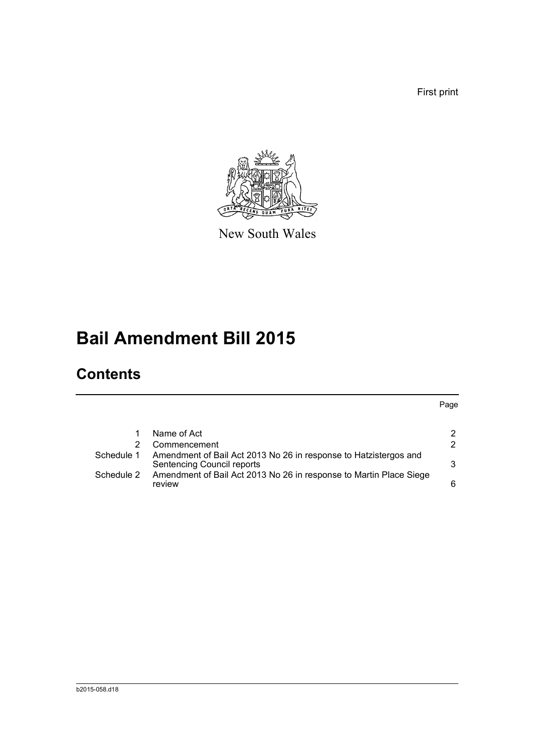First print



New South Wales

# **Bail Amendment Bill 2015**

## **Contents**

| Name of Act                                                                                           | 2 |
|-------------------------------------------------------------------------------------------------------|---|
| Commencement                                                                                          | 2 |
| Amendment of Bail Act 2013 No 26 in response to Hatzistergos and<br><b>Sentencing Council reports</b> | 3 |
| Amendment of Bail Act 2013 No 26 in response to Martin Place Siege<br>review                          | 6 |
|                                                                                                       |   |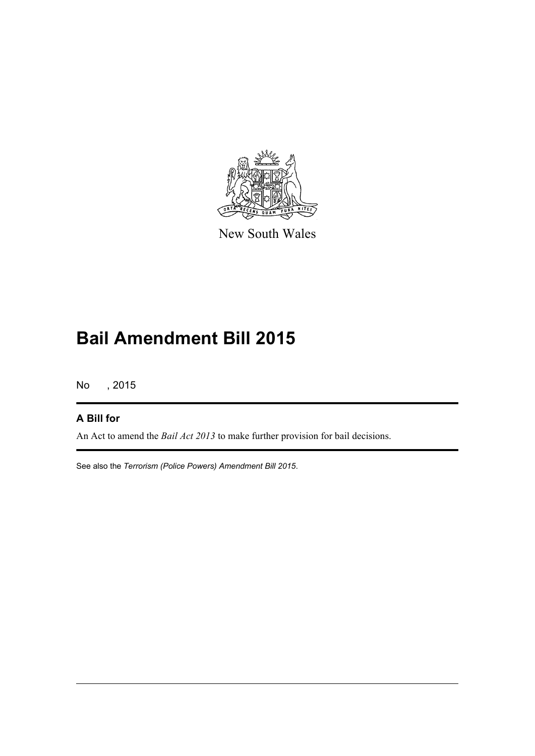

New South Wales

## **Bail Amendment Bill 2015**

No , 2015

#### **A Bill for**

An Act to amend the *Bail Act 2013* to make further provision for bail decisions.

See also the *Terrorism (Police Powers) Amendment Bill 2015*.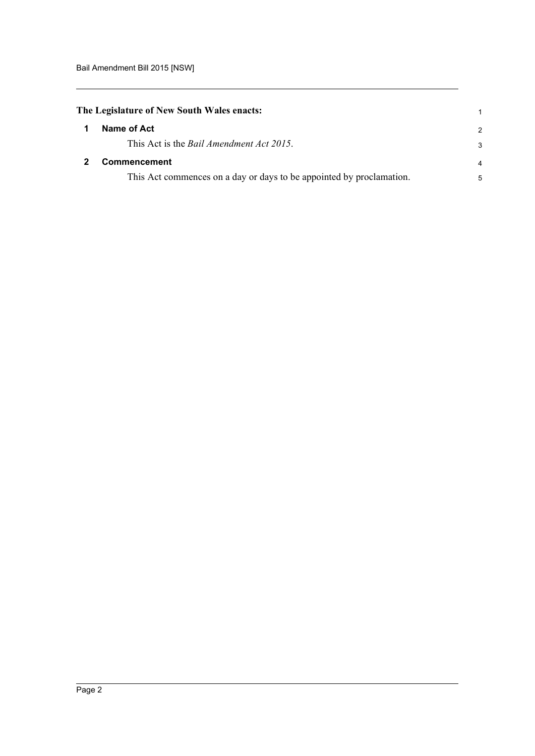<span id="page-5-1"></span><span id="page-5-0"></span>

|   | The Legislature of New South Wales enacts:                           |                |
|---|----------------------------------------------------------------------|----------------|
| 1 | Name of Act                                                          | 2              |
|   | This Act is the <i>Bail Amendment Act 2015</i> .                     | -3             |
|   | <b>Commencement</b>                                                  | $\overline{4}$ |
|   | This Act commences on a day or days to be appointed by proclamation. | 5              |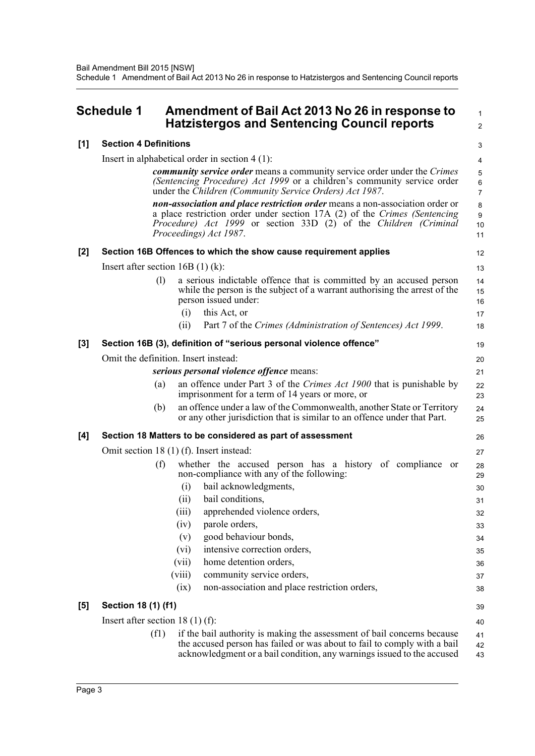### <span id="page-6-0"></span>**Schedule 1 Amendment of Bail Act 2013 No 26 in response to Hatzistergos and Sentencing Council reports**

**[1] Section 4 Definitions**

#### 3 4

 1  $\overline{2}$ 

| Insert in alphabetical order in section $4(1)$ :                                                                                                                                                                             |  |
|------------------------------------------------------------------------------------------------------------------------------------------------------------------------------------------------------------------------------|--|
| <i>community service order</i> means a community service order under the <i>Crimes</i><br>(Sentencing Procedure) Act 1999 or a children's community service order<br>under the Children (Community Service Orders) Act 1987. |  |

*non-association and place restriction order* means a non-association order or a place restriction order under section 17A (2) of the *Crimes (Sentencing Procedure) Act 1999* or section 33D (2) of the *Children (Criminal Proceedings) Act 1987*.

| [2] |                                          |                                                      | Section 16B Offences to which the show cause requirement applies                                                                                                                                                                                                                                       | 12                                                 |
|-----|------------------------------------------|------------------------------------------------------|--------------------------------------------------------------------------------------------------------------------------------------------------------------------------------------------------------------------------------------------------------------------------------------------------------|----------------------------------------------------|
|     | Insert after section $16B(1)(k)$ :       |                                                      |                                                                                                                                                                                                                                                                                                        | 13                                                 |
|     | (1)                                      | (i)<br>(ii)                                          | a serious indictable offence that is committed by an accused person<br>while the person is the subject of a warrant authorising the arrest of the<br>person issued under:<br>this Act, or<br>Part 7 of the Crimes (Administration of Sentences) Act 1999.                                              | 14<br>15<br>16<br>17<br>18                         |
| [3] |                                          |                                                      | Section 16B (3), definition of "serious personal violence offence"                                                                                                                                                                                                                                     | 19                                                 |
|     | Omit the definition. Insert instead:     |                                                      |                                                                                                                                                                                                                                                                                                        | 20                                                 |
|     |                                          |                                                      | serious personal violence offence means:                                                                                                                                                                                                                                                               | 21                                                 |
|     | (a)                                      |                                                      | an offence under Part 3 of the Crimes Act 1900 that is punishable by<br>imprisonment for a term of 14 years or more, or                                                                                                                                                                                | 22<br>23                                           |
|     | (b)                                      |                                                      | an offence under a law of the Commonwealth, another State or Territory<br>or any other jurisdiction that is similar to an offence under that Part.                                                                                                                                                     | 24<br>25                                           |
| [4] |                                          |                                                      | Section 18 Matters to be considered as part of assessment                                                                                                                                                                                                                                              | 26                                                 |
|     | Omit section 18 (1) (f). Insert instead: |                                                      |                                                                                                                                                                                                                                                                                                        | 27                                                 |
|     | (f)                                      | (i)<br>(ii)<br>(iii)<br>(iv)<br>(v)<br>(vi)<br>(vii) | whether the accused person has a history of compliance<br><sub>or</sub><br>non-compliance with any of the following:<br>bail acknowledgments,<br>bail conditions,<br>apprehended violence orders,<br>parole orders,<br>good behaviour bonds,<br>intensive correction orders,<br>home detention orders, | 28<br>29<br>30<br>31<br>32<br>33<br>34<br>35<br>36 |
|     |                                          | (viii)                                               | community service orders,                                                                                                                                                                                                                                                                              | 37                                                 |
|     |                                          | (ix)                                                 | non-association and place restriction orders,                                                                                                                                                                                                                                                          | 38                                                 |
| [5] | Section 18 (1) (f1)                      |                                                      |                                                                                                                                                                                                                                                                                                        | 39                                                 |
|     | Insert after section 18 $(1)$ (f):       |                                                      |                                                                                                                                                                                                                                                                                                        | 40                                                 |

(f1) if the bail authority is making the assessment of bail concerns because the accused person has failed or was about to fail to comply with a bail acknowledgment or a bail condition, any warnings issued to the accused 41 42 43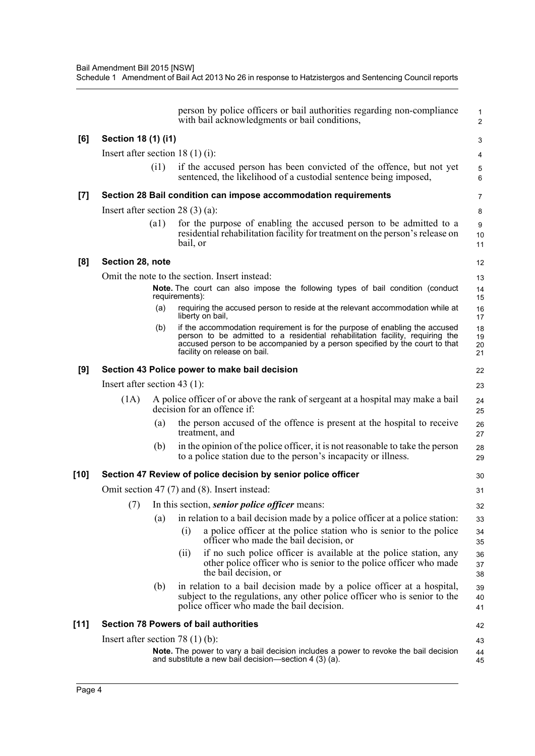|        |                                       | person by police officers or bail authorities regarding non-compliance<br>with bail acknowledgments or bail conditions,                                                                                                                                                     | 1<br>$\overline{2}$  |
|--------|---------------------------------------|-----------------------------------------------------------------------------------------------------------------------------------------------------------------------------------------------------------------------------------------------------------------------------|----------------------|
| [6]    | Section 18 (1) (i1)                   |                                                                                                                                                                                                                                                                             | 3                    |
|        | Insert after section 18 $(1)$ (i):    |                                                                                                                                                                                                                                                                             | 4                    |
|        | (i1)                                  | if the accused person has been convicted of the offence, but not yet<br>sentenced, the likelihood of a custodial sentence being imposed,                                                                                                                                    | 5<br>$6\phantom{1}$  |
| [7]    |                                       | Section 28 Bail condition can impose accommodation requirements                                                                                                                                                                                                             | $\overline{7}$       |
|        | Insert after section 28 $(3)(a)$ :    |                                                                                                                                                                                                                                                                             | 8                    |
|        | (a1)                                  | for the purpose of enabling the accused person to be admitted to a<br>residential rehabilitation facility for treatment on the person's release on<br>bail, or                                                                                                              | 9<br>10<br>11        |
| [8]    | Section 28, note                      |                                                                                                                                                                                                                                                                             | 12                   |
|        |                                       | Omit the note to the section. Insert instead:                                                                                                                                                                                                                               | 13                   |
|        |                                       | Note. The court can also impose the following types of bail condition (conduct<br>requirements):                                                                                                                                                                            | 14<br>15             |
|        | (a)                                   | requiring the accused person to reside at the relevant accommodation while at<br>liberty on bail,                                                                                                                                                                           | 16<br>17             |
|        | (b)                                   | if the accommodation requirement is for the purpose of enabling the accused<br>person to be admitted to a residential rehabilitation facility, requiring the<br>accused person to be accompanied by a person specified by the court to that<br>facility on release on bail. | 18<br>19<br>20<br>21 |
| [9]    |                                       | Section 43 Police power to make bail decision                                                                                                                                                                                                                               | 22                   |
|        | Insert after section 43 $(1)$ :       |                                                                                                                                                                                                                                                                             | 23                   |
|        | (1A)                                  | A police officer of or above the rank of sergeant at a hospital may make a bail<br>decision for an offence if:                                                                                                                                                              | 24<br>25             |
|        | (a)                                   | the person accused of the offence is present at the hospital to receive<br>treatment, and                                                                                                                                                                                   | 26<br>27             |
|        | (b)                                   | in the opinion of the police officer, it is not reasonable to take the person<br>to a police station due to the person's incapacity or illness.                                                                                                                             | 28<br>29             |
| [10]   |                                       | Section 47 Review of police decision by senior police officer                                                                                                                                                                                                               | 30                   |
|        |                                       | Omit section 47 (7) and (8). Insert instead:                                                                                                                                                                                                                                | 31                   |
|        |                                       | (7) In this section, <i>senior police officer</i> means:                                                                                                                                                                                                                    | 32                   |
|        | (a)                                   | in relation to a bail decision made by a police officer at a police station:                                                                                                                                                                                                | 33                   |
|        |                                       | a police officer at the police station who is senior to the police<br>(i)<br>officer who made the bail decision, or                                                                                                                                                         | 34<br>35             |
|        |                                       | if no such police officer is available at the police station, any<br>(ii)<br>other police officer who is senior to the police officer who made<br>the bail decision, or                                                                                                     | 36<br>37<br>38       |
|        | (b)                                   | in relation to a bail decision made by a police officer at a hospital,<br>subject to the regulations, any other police officer who is senior to the<br>police officer who made the bail decision.                                                                           | 39<br>40<br>41       |
| $[11]$ |                                       | <b>Section 78 Powers of bail authorities</b>                                                                                                                                                                                                                                | 42                   |
|        | Insert after section 78 $(1)$ $(b)$ : |                                                                                                                                                                                                                                                                             | 43                   |
|        |                                       | <b>Note.</b> The power to vary a bail decision includes a power to revoke the bail decision<br>and substitute a new bail decision—section 4 $(3)$ (a).                                                                                                                      | 44<br>45             |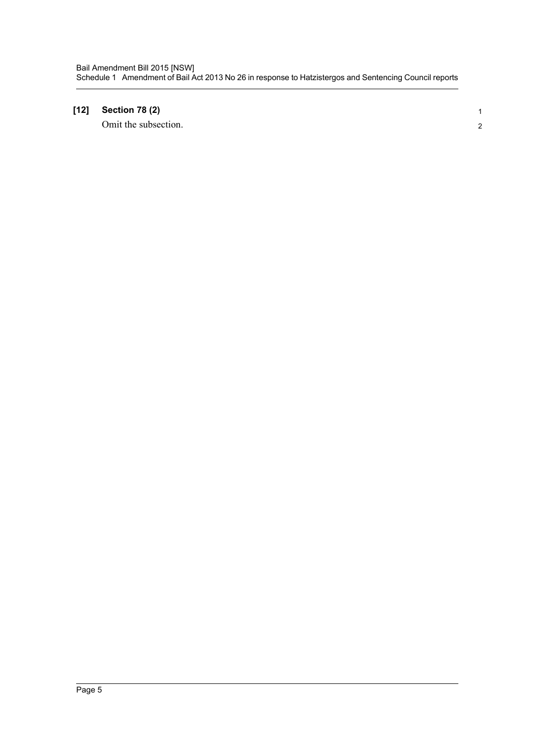### **[12] Section 78 (2)**

Omit the subsection.

 1 2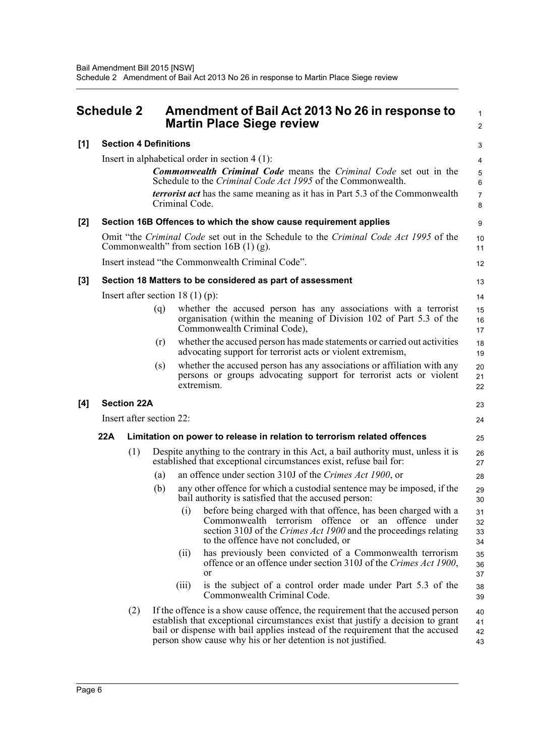<span id="page-9-0"></span>

|       | <b>Schedule 2</b>                                                                                                                |                                  |     |                | Amendment of Bail Act 2013 No 26 in response to<br><b>Martin Place Siege review</b>                                                                                                                                                                                                                                  | $\mathbf{1}$<br>2    |
|-------|----------------------------------------------------------------------------------------------------------------------------------|----------------------------------|-----|----------------|----------------------------------------------------------------------------------------------------------------------------------------------------------------------------------------------------------------------------------------------------------------------------------------------------------------------|----------------------|
| [1]   |                                                                                                                                  | <b>Section 4 Definitions</b>     |     |                |                                                                                                                                                                                                                                                                                                                      | 3                    |
|       | Insert in alphabetical order in section $4(1)$ :                                                                                 |                                  |     |                |                                                                                                                                                                                                                                                                                                                      | 4                    |
|       |                                                                                                                                  |                                  |     |                | <b>Commonwealth Criminal Code</b> means the Criminal Code set out in the<br>Schedule to the Criminal Code Act 1995 of the Commonwealth.                                                                                                                                                                              | 5<br>$\,6\,$         |
|       |                                                                                                                                  |                                  |     | Criminal Code. | <i>terrorist act</i> has the same meaning as it has in Part 5.3 of the Commonwealth                                                                                                                                                                                                                                  | $\overline{7}$<br>8  |
| $[2]$ |                                                                                                                                  |                                  |     |                | Section 16B Offences to which the show cause requirement applies                                                                                                                                                                                                                                                     | 9                    |
|       | Omit "the Criminal Code set out in the Schedule to the Criminal Code Act 1995 of the<br>Commonwealth" from section $16B(1)(g)$ . |                                  |     |                |                                                                                                                                                                                                                                                                                                                      | 10<br>11             |
|       |                                                                                                                                  |                                  |     |                | Insert instead "the Commonwealth Criminal Code".                                                                                                                                                                                                                                                                     | 12                   |
| $[3]$ |                                                                                                                                  |                                  |     |                | Section 18 Matters to be considered as part of assessment                                                                                                                                                                                                                                                            | 13                   |
|       |                                                                                                                                  | Insert after section 18 (1) (p): |     |                |                                                                                                                                                                                                                                                                                                                      | 14                   |
|       |                                                                                                                                  |                                  | (q) |                | whether the accused person has any associations with a terrorist<br>organisation (within the meaning of Division 102 of Part 5.3 of the<br>Commonwealth Criminal Code),                                                                                                                                              | 15<br>16<br>17       |
|       |                                                                                                                                  |                                  | (r) |                | whether the accused person has made statements or carried out activities<br>advocating support for terrorist acts or violent extremism,                                                                                                                                                                              | 18<br>19             |
|       |                                                                                                                                  |                                  | (s) |                | whether the accused person has any associations or affiliation with any<br>persons or groups advocating support for terrorist acts or violent<br>extremism.                                                                                                                                                          | 20<br>21<br>22       |
| [4]   |                                                                                                                                  | <b>Section 22A</b>               |     |                |                                                                                                                                                                                                                                                                                                                      | 23                   |
|       |                                                                                                                                  | Insert after section 22:         |     |                |                                                                                                                                                                                                                                                                                                                      | 24                   |
|       | 22A                                                                                                                              |                                  |     |                | Limitation on power to release in relation to terrorism related offences                                                                                                                                                                                                                                             | 25                   |
|       |                                                                                                                                  | (1)                              |     |                | Despite anything to the contrary in this Act, a bail authority must, unless it is<br>established that exceptional circumstances exist, refuse bail for:                                                                                                                                                              | 26<br>27             |
|       |                                                                                                                                  |                                  | (a) |                | an offence under section 310J of the Crimes Act 1900, or                                                                                                                                                                                                                                                             | 28                   |
|       |                                                                                                                                  |                                  | (b) |                | any other offence for which a custodial sentence may be imposed, if the<br>bail authority is satisfied that the accused person:                                                                                                                                                                                      | 29<br>30             |
|       |                                                                                                                                  |                                  |     | (i)            | before being charged with that offence, has been charged with a<br>Commonwealth terrorism offence or an offence<br>under<br>section 310J of the <i>Crimes Act 1900</i> and the proceedings relating<br>to the offence have not concluded, or                                                                         | 31<br>32<br>33<br>34 |
|       |                                                                                                                                  |                                  |     | (ii)           | has previously been convicted of a Commonwealth terrorism<br>offence or an offence under section 310J of the Crimes Act 1900,<br><sub>or</sub>                                                                                                                                                                       | 35<br>36<br>37       |
|       |                                                                                                                                  |                                  |     | (iii)          | is the subject of a control order made under Part 5.3 of the<br>Commonwealth Criminal Code.                                                                                                                                                                                                                          | 38<br>39             |
|       |                                                                                                                                  | (2)                              |     |                | If the offence is a show cause offence, the requirement that the accused person<br>establish that exceptional circumstances exist that justify a decision to grant<br>bail or dispense with bail applies instead of the requirement that the accused<br>person show cause why his or her detention is not justified. | 40<br>41<br>42<br>43 |